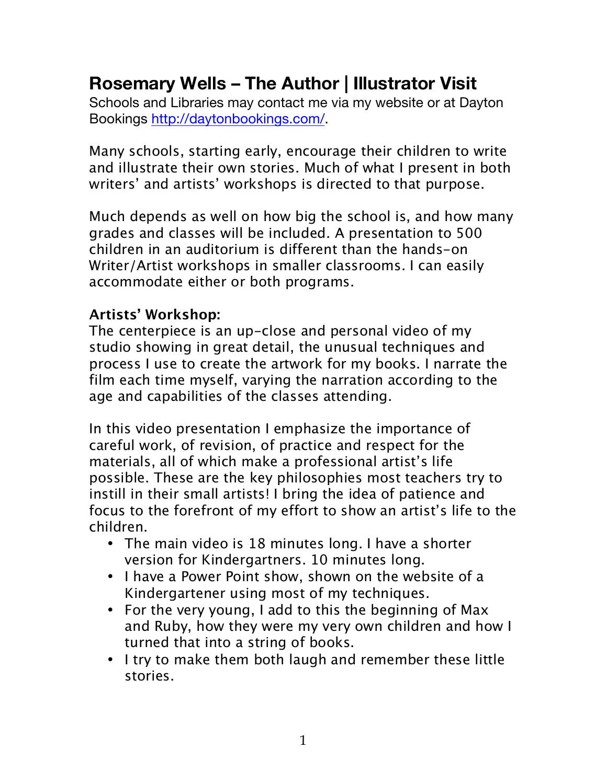## **Rosemary Wells – The Author | Illustrator Visit**

Schools and Libraries may contact me via my website or at Dayton Bookings http://daytonbookings.com/.

Many schools, starting early, encourage their children to write and illustrate their own stories. Much of what I present in both writers' and artists' workshops is directed to that purpose.

Much depends as well on how big the school is, and how many grades and classes will be included. A presentation to 500 children in an auditorium is different than the hands-on Writer/Artist workshops in smaller classrooms. I can easily accommodate either or both programs.

## **Artists' Workshop:**

The centerpiece is an up-close and personal video of my studio showing in great detail, the unusual techniques and process I use to create the artwork for my books. I narrate the film each time myself, varying the narration according to the age and capabilities of the classes attending.

In this video presentation I emphasize the importance of careful work, of revision, of practice and respect for the materials, all of which make a professional artist's life possible. These are the key philosophies most teachers try to instill in their small artists! I bring the idea of patience and focus to the forefront of my effort to show an artist's life to the children.

- The main video is 18 minutes long. I have a shorter version for Kindergartners. 10 minutes long.
- I have a Power Point show, shown on the website of a Kindergartener using most of my techniques.
- For the very young, I add to this the beginning of Max and Ruby, how they were my very own children and how I turned that into a string of books.
- I try to make them both laugh and remember these little stories.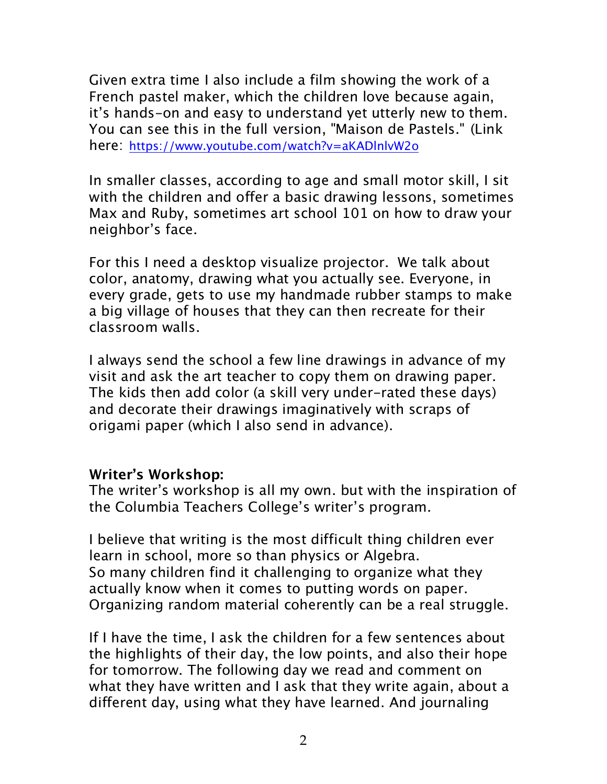Given extra time I also include a film showing the work of a French pastel maker, which the children love because again, it's hands-on and easy to understand yet utterly new to them. You can see this in the full version, "Maison de Pastels." (Link here: https://www.youtube.com/watch?v=aKADlnlvW2o

In smaller classes, according to age and small motor skill, I sit with the children and offer a basic drawing lessons, sometimes Max and Ruby, sometimes art school 101 on how to draw your neighbor's face.

For this I need a desktop visualize projector. We talk about color, anatomy, drawing what you actually see. Everyone, in every grade, gets to use my handmade rubber stamps to make a big village of houses that they can then recreate for their classroom walls.

I always send the school a few line drawings in advance of my visit and ask the art teacher to copy them on drawing paper. The kids then add color (a skill very under-rated these days) and decorate their drawings imaginatively with scraps of origami paper (which I also send in advance).

## **Writer's Workshop:**

The writer's workshop is all my own. but with the inspiration of the Columbia Teachers College's writer's program.

I believe that writing is the most difficult thing children ever learn in school, more so than physics or Algebra. So many children find it challenging to organize what they actually know when it comes to putting words on paper. Organizing random material coherently can be a real struggle.

If I have the time, I ask the children for a few sentences about the highlights of their day, the low points, and also their hope for tomorrow. The following day we read and comment on what they have written and I ask that they write again, about a different day, using what they have learned. And journaling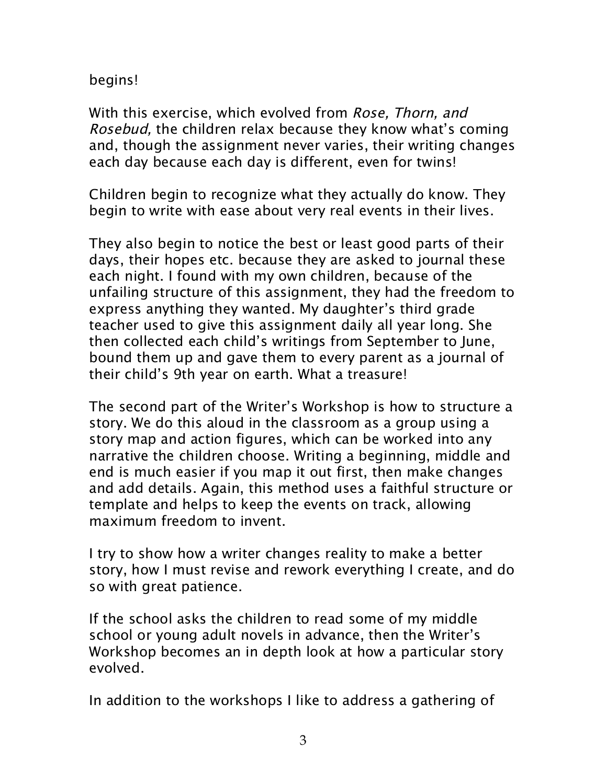begins!

With this exercise, which evolved from *Rose, Thorn, and* Rosebud, the children relax because they know what's coming and, though the assignment never varies, their writing changes each day because each day is different, even for twins!

Children begin to recognize what they actually do know. They begin to write with ease about very real events in their lives.

They also begin to notice the best or least good parts of their days, their hopes etc. because they are asked to journal these each night. I found with my own children, because of the unfailing structure of this assignment, they had the freedom to express anything they wanted. My daughter's third grade teacher used to give this assignment daily all year long. She then collected each child's writings from September to June, bound them up and gave them to every parent as a journal of their child's 9th year on earth. What a treasure!

The second part of the Writer's Workshop is how to structure a story. We do this aloud in the classroom as a group using a story map and action figures, which can be worked into any narrative the children choose. Writing a beginning, middle and end is much easier if you map it out first, then make changes and add details. Again, this method uses a faithful structure or template and helps to keep the events on track, allowing maximum freedom to invent.

I try to show how a writer changes reality to make a better story, how I must revise and rework everything I create, and do so with great patience.

If the school asks the children to read some of my middle school or young adult novels in advance, then the Writer's Workshop becomes an in depth look at how a particular story evolved.

In addition to the workshops I like to address a gathering of